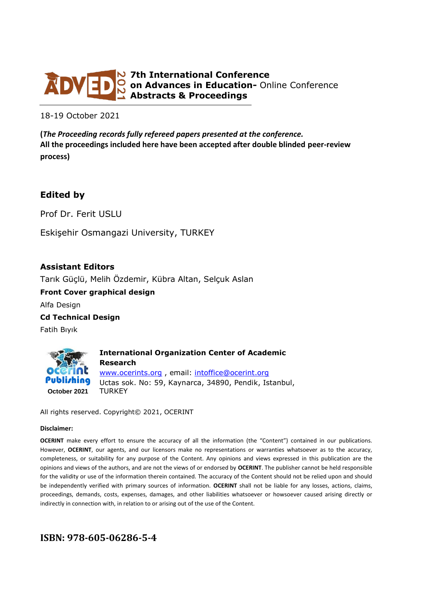

**7th International Conference on Advances in Education-** Online Conference **Abstracts & Proceedings**

18-19 October 2021

**(***The Proceeding records fully refereed papers presented at the conference.* **All the proceedings included here have been accepted after double blinded peer-review process)**

# **Edited by**

Prof Dr. Ferit USLU

Eskişehir Osmangazi University, TURKEY

### **Assistant Editors**

Tarık Güçlü, Melih Özdemir, Kübra Altan, Selçuk Aslan

**Front Cover graphical design** Alfa Design

**Cd Technical Design**

Fatih Bıyık



All rights reserved. Copyright© 2021, OCERINT

#### **Disclaimer:**

**OCERINT** make every effort to ensure the accuracy of all the information (the "Content") contained in our publications. However, **OCERINT**, our agents, and our licensors make no representations or warranties whatsoever as to the accuracy, completeness, or suitability for any purpose of the Content. Any opinions and views expressed in this publication are the opinions and views of the authors, and are not the views of or endorsed by **OCERINT**. The publisher cannot be held responsible for the validity or use of the information therein contained. The accuracy of the Content should not be relied upon and should be independently verified with primary sources of information. **OCERINT** shall not be liable for any losses, actions, claims, proceedings, demands, costs, expenses, damages, and other liabilities whatsoever or howsoever caused arising directly or indirectly in connection with, in relation to or arising out of the use of the Content.

# **ISBN: 978-605-06286-5-4**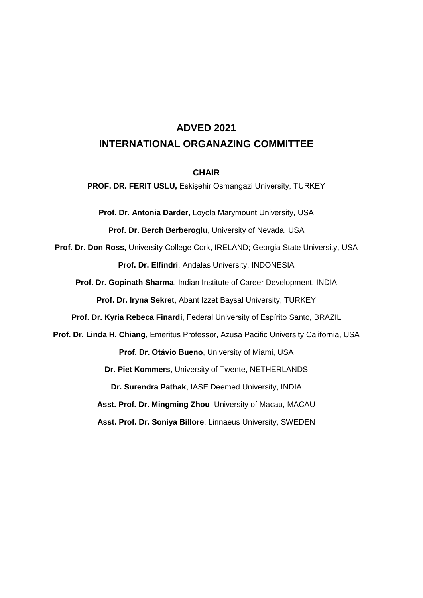# **ADVED 2021 INTERNATIONAL ORGANAZING COMMITTEE**

### **CHAIR**

**PROF. DR. FERIT USLU,** Eskişehir Osmangazi University, TURKEY

**Prof. Dr. Antonia Darder**, Loyola Marymount University, USA

**Prof. Dr. Berch Berberoglu**, University of Nevada, USA

**Prof. Dr. Don Ross,** University College Cork, IRELAND; Georgia State University, USA **Prof. Dr. Elfindri**, Andalas University, INDONESIA

**Prof. Dr. Gopinath Sharma**, Indian Institute of Career Development, INDIA

**Prof. Dr. Iryna Sekret**, Abant Izzet Baysal University, TURKEY

**Prof. Dr. Kyria Rebeca Finardi**, Federal University of Espírito Santo, BRAZIL

**Prof. Dr. Linda H. Chiang**, Emeritus Professor, Azusa Pacific University California, USA

**Prof. Dr. Otávio Bueno**, University of Miami, USA

**Dr. Piet Kommers**, University of Twente, NETHERLANDS

**Dr. Surendra Pathak**, IASE Deemed University, INDIA

**Asst. Prof. Dr. Mingming Zhou**, University of Macau, MACAU

**Asst. Prof. Dr. Soniya Billore**, Linnaeus University, SWEDEN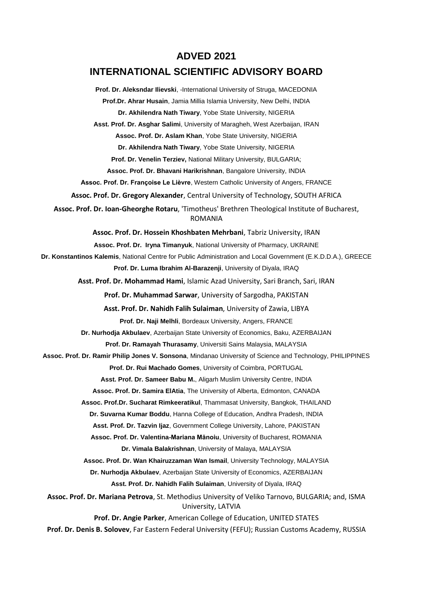### **ADVED 2021**

# **INTERNATIONAL SCIENTIFIC ADVISORY BOARD**

**Prof. Dr. Aleksndar Ilievski**, -International University of Struga, MACEDONIA **Prof.Dr. Ahrar Husain**, Jamia Millia Islamia University, New Delhi, INDIA **Dr. Akhilendra Nath Tiwary**, Yobe State University, NIGERIA **Asst. Prof. Dr. Asghar Salimi**, University of Maragheh, West Azerbaijan, IRAN **Assoc. Prof. Dr. Aslam Khan**, Yobe State University, NIGERIA **Dr. Akhilendra Nath Tiwary**, Yobe State University, NIGERIA **Prof. Dr. Venelin Terziev,** National Military University, BULGARIA; **Assoc. Prof. Dr. Bhavani Harikrishnan**, Bangalore University, INDIA **Assoc. Prof. Dr. Françoise Le Lièvre**, Western Catholic University of Angers, FRANCE **Assoc. Prof. Dr. Gregory Alexander**, Central University of Technology, SOUTH AFRICA **Assoc. Prof. Dr. Ioan-Gheorghe Rotaru**, 'Timotheus' Brethren Theological Institute of Bucharest, ROMANIA **Assoc. Prof. Dr. Hossein Khoshbaten Mehrbani**, Tabriz University, IRAN **Assoc. Prof. Dr. Iryna Timanyuk**, National University of Pharmacy, UKRAINE **Dr. Konstantinos Kalemis**, National Centre for Public Administration and Local Government (E.K.D.D.A.), GREECE **Prof. Dr. Luma Ibrahim Al-Barazenji**, University of Diyala, IRAQ **Asst. Prof. Dr. Mohammad Hami**, Islamic Azad University, Sari Branch, Sari, IRAN **Prof. Dr. Muhammad Sarwar**, University of Sargodha, PAKISTAN **Asst. Prof. Dr. Nahidh Falih Sulaiman**, University of Zawia, LIBYA **Prof. Dr. Naji Melhli**, Bordeaux University, Angers, FRANCE **Dr. Nurhodja Akbulaev**, Azerbaijan State University of Economics, Baku, AZERBAIJAN **Prof. Dr. Ramayah Thurasamy**, Universiti Sains Malaysia, MALAYSIA **Assoc. Prof. Dr. Ramir Philip Jones V. Sonsona**, Mindanao University of Science and Technology, PHILIPPINES **Prof. Dr. Rui Machado Gomes**, University of Coimbra, PORTUGAL **Asst. Prof. Dr. Sameer Babu M.**, Aligarh Muslim University Centre, INDIA **Assoc. Prof. Dr. Samira ElAtia**, The University of Alberta, Edmonton, CANADA **Assoc. Prof.Dr. Sucharat Rimkeeratikul**, Thammasat University, Bangkok, THAILAND **Dr. Suvarna Kumar Boddu**, Hanna College of Education, Andhra Pradesh, INDIA **Asst. Prof. Dr. Tazvin Ijaz**, Government College University, Lahore, PAKISTAN **Assoc. Prof. Dr. Valentina-Mariana Mănoiu**, University of Bucharest, ROMANIA **Dr. Vimala Balakrishnan**, University of Malaya, MALAYSIA **Assoc. Prof. Dr. Wan Khairuzzaman Wan Ismail**, University Technology, MALAYSIA **Dr. Nurhodja Akbulaev**, Azerbaijan State University of Economics, AZERBAIJAN **Asst. Prof. Dr. Nahidh Falih Sulaiman**, University of Diyala, IRAQ **Assoc. Prof. Dr. Mariana Petrova**, St. Methodius University of Veliko Tarnovo, BULGARIA; and, ISMA University, LATVIA **Prof. Dr. Angie Parker**, American College of Education, UNITED STATES **Prof. Dr. Denis B. Solovev**, Far Eastern Federal University (FEFU); Russian Customs Academy, RUSSIA